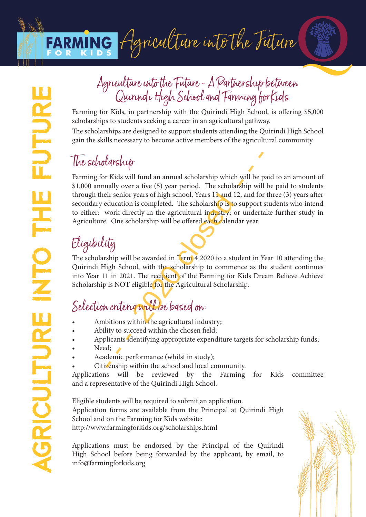## FARMING Agriculture into the Future



## Agriculture into the Future - A Partnership between Quirindi High School and Farming for Kids

Farming for Kids, in partnership with the Quirindi High School, is offering \$5,000 scholarships to students seeking a career in an agricultural pathway.

The scholarships are designed to support students attending the Quirindi High School gain the skills necessary to become active members of the agricultural community.

### The scholarship

Farming for Kids will fund an annual scholarship which will be paid to an amount of \$1,000 annually over a five (5) year period. The scholarship will be paid to students through their senior years of high school, Years 11 and 12, and for three (3) years after secondary education is completed. The scholarship is to support students who intend to either: work directly in the agricultural industry; or undertake further study in Agriculture. One scholarship will be offered each calendar year. **Example 18**<br>
Latington The Solution of the scholarship will be pually over a five (5) year period. The scholarship will be pually over a five (5) year period. The scholarship will be included in scompleted. The scholarsh

## Eligibility

The scholarship will be awarded in Term 4 2020 to a student in Year 10 attending the Quirindi High School, with the scholarship to commence as the student continues into Year 11 in 2021. The recipient of the Farming for Kids Dream Believe Achieve Scholarship is NOT eligible for the Agricultural Scholarship.

## Selection criteria will be based on:

- Ambitions within the agricultural industry;
- Ability to succeed within the chosen field;
- Applicants identifying appropriate expenditure targets for scholarship funds;
- Need;
- Academic performance (whilst in study);
- Citizenship within the school and local community.

Applications will be reviewed by the Farming for Kids committee and a representative of the Quirindi High School.

Eligible students will be required to submit an application. Application forms are available from the Principal at Quirindi High School and on the Farming for Kids website: http://www.farmingforkids.org/scholarships.html

Applications must be endorsed by the Principal of the Quirindi High School before being forwarded by the applicant, by email, to info@farmingforkids.org

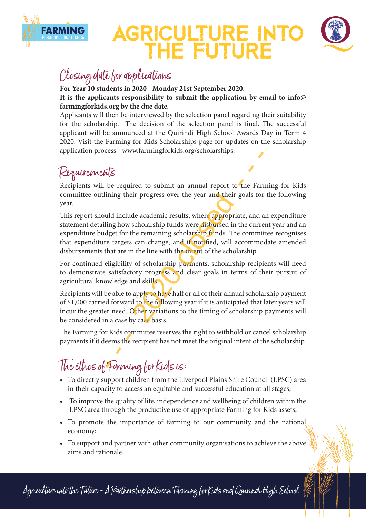

## AGRICULTURE INTO THE FUTURE



#### Closing date for applications

**For Year 10 students in 2020 - Monday 21st September 2020. It is the applicants responsibility to submit the application by email to info@ farmingforkids.org by the due date.**

Applicants will then be interviewed by the selection panel regarding their suitability for the scholarship. The decision of the selection panel is final. The successful applicant will be announced at the Quirindi High School Awards Day in Term 4 2020. Visit the Farming for Kids Scholarships page for updates on the scholarship application process - www.farmingforkids.org/scholarships.

#### Requirements

Recipients will be required to submit an annual report to the Farming for Kids committee outlining their progress over the year and their goals for the following year.

This report should include academic results, where appropriate, and an expenditure statement detailing how scholarship funds were disbursed in the current year and an expenditure budget for the remaining scholarship funds. The committee recognises that expenditure targets can change, and if notified, will accommodate amended disbursements that are in the line with the intent of the scholarship  $\sqrt{\frac{2}{5}}$ <br>be required to submit an annual report to the Farming their progress over the year and their goals for<br>all include academic results, where appropriate, and a<br>ling how scholarship funds were disbursed in the cu

For continued eligibility of scholarship payments, scholarship recipients will need to demonstrate satisfactory progress and clear goals in terms of their pursuit of agricultural knowledge and skills.

Recipients will be able to apply to have half or all of their annual scholarship payment of \$1,000 carried forward to the following year if it is anticipated that later years will incur the greater need. Other variations to the timing of scholarship payments will be considered in a case by case basis.

The Farming for Kids committee reserves the right to withhold or cancel scholarship payments if it deems the recipient has not meet the original intent of the scholarship.

The ethos of Farming for Kids is:

- To directly support children from the Liverpool Plains Shire Council (LPSC) area in their capacity to access an equitable and successful education at all stages;
- To improve the quality of life, independence and wellbeing of children within the LPSC area through the productive use of appropriate Farming for Kids assets;
- To promote the importance of farming to our community and the national economy;
- To support and partner with other community organisations to achieve the above aims and rationale.

Agriculture into the Future - A Partnership between Farming for Kiols and Quirindi High School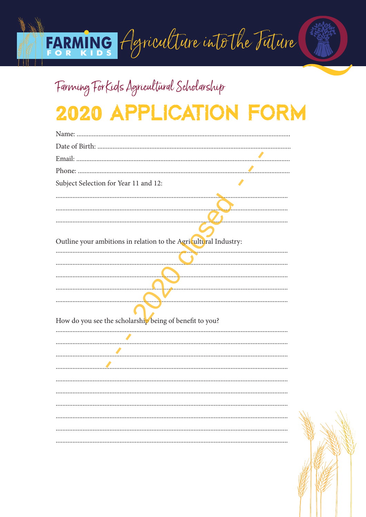# FARMING Agriculture into the Future

## Farming ForKids Agricultural Scholarship 2020 APPLICATION FORM

| Subject Selection for Year 11 and 12:                            |
|------------------------------------------------------------------|
|                                                                  |
|                                                                  |
|                                                                  |
| Outline your ambitions in relation to the Agricultural Industry: |
|                                                                  |
|                                                                  |
|                                                                  |
|                                                                  |
|                                                                  |
| How do you see the scholarship being of benefit to you?          |
|                                                                  |
|                                                                  |
|                                                                  |
|                                                                  |
|                                                                  |
|                                                                  |
|                                                                  |
|                                                                  |
|                                                                  |
|                                                                  |